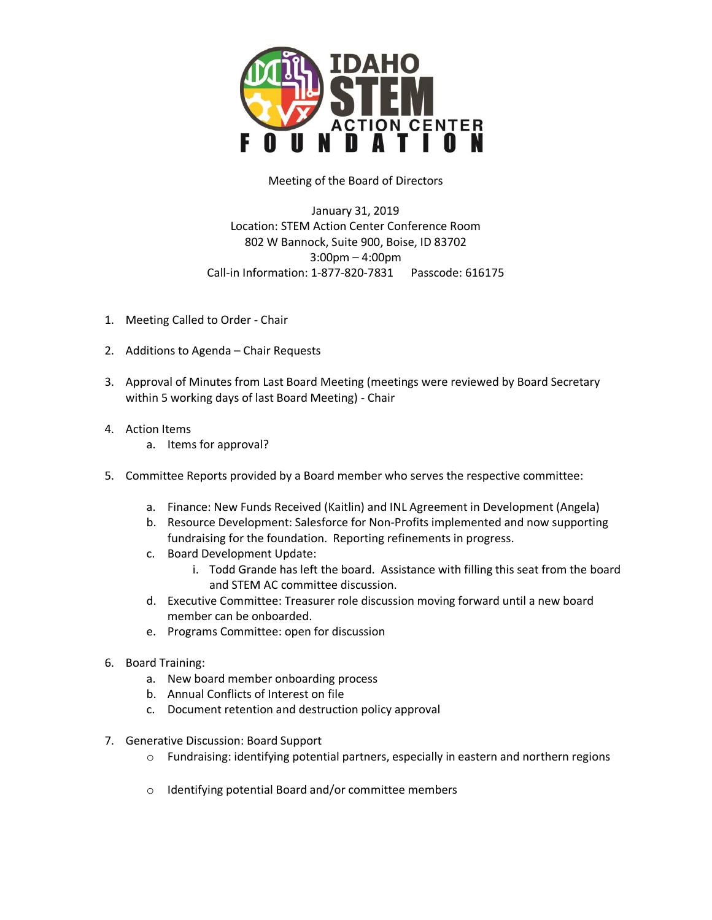

Meeting of the Board of Directors

January 31, 2019 Location: STEM Action Center Conference Room 802 W Bannock, Suite 900, Boise, ID 83702 3:00pm – 4:00pm Call-in Information: 1-877-820-7831 Passcode: 616175

- 1. Meeting Called to Order Chair
- 2. Additions to Agenda Chair Requests
- 3. Approval of Minutes from Last Board Meeting (meetings were reviewed by Board Secretary within 5 working days of last Board Meeting) - Chair
- 4. Action Items
	- a. Items for approval?
- 5. Committee Reports provided by a Board member who serves the respective committee:
	- a. Finance: New Funds Received (Kaitlin) and INL Agreement in Development (Angela)
	- b. Resource Development: Salesforce for Non-Profits implemented and now supporting fundraising for the foundation. Reporting refinements in progress.
	- c. Board Development Update:
		- i. Todd Grande has left the board. Assistance with filling this seat from the board and STEM AC committee discussion.
	- d. Executive Committee: Treasurer role discussion moving forward until a new board member can be onboarded.
	- e. Programs Committee: open for discussion
- 6. Board Training:
	- a. New board member onboarding process
	- b. Annual Conflicts of Interest on file
	- c. Document retention and destruction policy approval
- 7. Generative Discussion: Board Support
	- o Fundraising: identifying potential partners, especially in eastern and northern regions
	- o Identifying potential Board and/or committee members